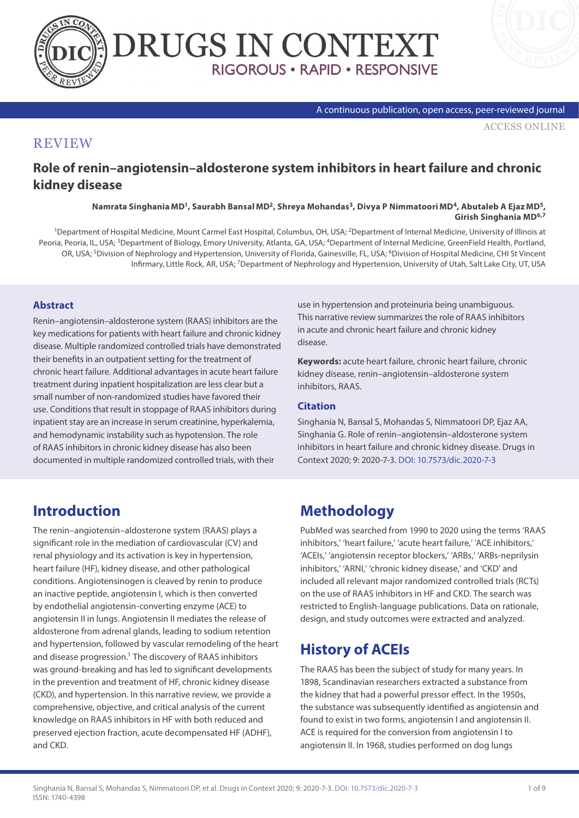



#### A continuous publication, open access, peer-reviewed journal

[ACCESS ONLINE](https://www.drugsincontext.com/role-of-renin-angiotensin-aldosterone-system-inhibitors-in-heart-failure-and-chronic-kidney-disease)

### **REVIEW**

**Role of renin–angiotensin–aldosterone system inhibitors in heart failure and chronic kidney disease**

> **Namrata Singhania MD1, Saurabh Bansal MD2, Shreya Mohandas3, Divya P Nimmatoori MD4, Abutaleb A Ejaz MD5, Girish Singhania MD6,7**

1Department of Hospital Medicine, Mount Carmel East Hospital, Columbus, OH, USA; 2Department of Internal Medicine, University of Illinois at Peoria, Peoria, IL, USA; <sup>3</sup>Department of Biology, Emory University, Atlanta, GA, USA; <sup>4</sup>Department of Internal Medicine, GreenField Health, Portland, OR, USA; <sup>5</sup>Division of Nephrology and Hypertension, University of Florida, Gainesville, FL, USA; <sup>6</sup>Division of Hospital Medicine, CHI St Vincent Infirmary, Little Rock, AR, USA; 7Department of Nephrology and Hypertension, University of Utah, Salt Lake City, UT, USA

### **Abstract**

Renin–angiotensin–aldosterone system (RAAS) inhibitors are the key medications for patients with heart failure and chronic kidney disease. Multiple randomized controlled trials have demonstrated their benefits in an outpatient setting for the treatment of chronic heart failure. Additional advantages in acute heart failure treatment during inpatient hospitalization are less clear but a small number of non-randomized studies have favored their use. Conditions that result in stoppage of RAAS inhibitors during inpatient stay are an increase in serum creatinine, hyperkalemia, and hemodynamic instability such as hypotension. The role of RAAS inhibitors in chronic kidney disease has also been documented in multiple randomized controlled trials, with their

use in hypertension and proteinuria being unambiguous. This narrative review summarizes the role of RAAS inhibitors in acute and chronic heart failure and chronic kidney disease.

**Keywords:** acute heart failure, chronic heart failure, chronic kidney disease, renin–angiotensin–aldosterone system inhibitors, RAAS.

### **Citation**

Singhania N, Bansal S, Mohandas S, Nimmatoori DP, Ejaz AA, Singhania G. Role of renin–angiotensin–aldosterone system inhibitors in heart failure and chronic kidney disease. Drugs in Context 2020; 9: 2020-7-3. [DOI: 10.7573/dic.2020-7-3](https://doi.org/10.7573/dic.2020-7-3)

# **Introduction**

The renin–angiotensin–aldosterone system (RAAS) plays a significant role in the mediation of cardiovascular (CV) and renal physiology and its activation is key in hypertension, heart failure (HF), kidney disease, and other pathological conditions. Angiotensinogen is cleaved by renin to produce an inactive peptide, angiotensin I, which is then converted by endothelial angiotensin-converting enzyme (ACE) to angiotensin II in lungs. Angiotensin II mediates the release of aldosterone from adrenal glands, leading to sodium retention and hypertension, followed by vascular remodeling of the heart and disease progression.<sup>1</sup> The discovery of RAAS inhibitors was ground-breaking and has led to significant developments in the prevention and treatment of HF, chronic kidney disease (CKD), and hypertension. In this narrative review, we provide a comprehensive, objective, and critical analysis of the current knowledge on RAAS inhibitors in HF with both reduced and preserved ejection fraction, acute decompensated HF (ADHF), and CKD.

# **Methodology**

PubMed was searched from 1990 to 2020 using the terms 'RAAS inhibitors,' 'heart failure,' 'acute heart failure,' 'ACE inhibitors,' 'ACEIs,' 'angiotensin receptor blockers,' 'ARBs,' 'ARBs-neprilysin inhibitors,' 'ARNI,' 'chronic kidney disease,' and 'CKD' and included all relevant major randomized controlled trials (RCTs) on the use of RAAS inhibitors in HF and CKD. The search was restricted to English-language publications. Data on rationale, design, and study outcomes were extracted and analyzed.

# **History of ACEIs**

The RAAS has been the subject of study for many years. In 1898, Scandinavian researchers extracted a substance from the kidney that had a powerful pressor effect. In the 1950s, the substance was subsequently identified as angiotensin and found to exist in two forms, angiotensin I and angiotensin II. ACE is required for the conversion from angiotensin I to angiotensin II. In 1968, studies performed on dog lungs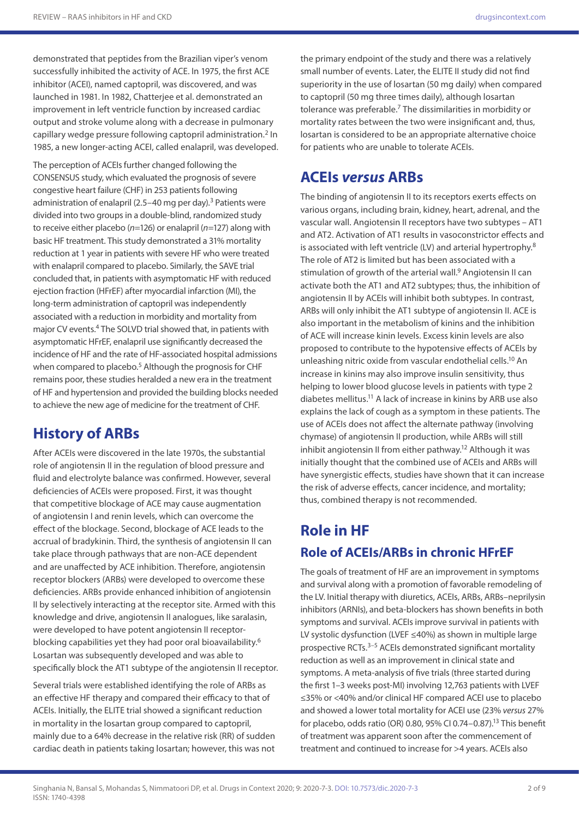demonstrated that peptides from the Brazilian viper's venom successfully inhibited the activity of ACE. In 1975, the first ACE inhibitor (ACEI), named captopril, was discovered, and was launched in 1981. In 1982, Chatterjee et al. demonstrated an improvement in left ventricle function by increased cardiac output and stroke volume along with a decrease in pulmonary capillary wedge pressure following captopril administration.2 In 1985, a new longer-acting ACEI, called enalapril, was developed.

The perception of ACEIs further changed following the CONSENSUS study, which evaluated the prognosis of severe congestive heart failure (CHF) in 253 patients following administration of enalapril (2.5-40 mg per day).<sup>3</sup> Patients were divided into two groups in a double-blind, randomized study to receive either placebo (*n*=126) or enalapril (*n*=127) along with basic HF treatment. This study demonstrated a 31% mortality reduction at 1 year in patients with severe HF who were treated with enalapril compared to placebo. Similarly, the SAVE trial concluded that, in patients with asymptomatic HF with reduced ejection fraction (HFrEF) after myocardial infarction (MI), the long-term administration of captopril was independently associated with a reduction in morbidity and mortality from major CV events.4 The SOLVD trial showed that, in patients with asymptomatic HFrEF, enalapril use significantly decreased the incidence of HF and the rate of HF-associated hospital admissions when compared to placebo.<sup>5</sup> Although the prognosis for CHF remains poor, these studies heralded a new era in the treatment of HF and hypertension and provided the building blocks needed to achieve the new age of medicine for the treatment of CHF.

# **History of ARBs**

After ACEIs were discovered in the late 1970s, the substantial role of angiotensin II in the regulation of blood pressure and fluid and electrolyte balance was confirmed. However, several deficiencies of ACEIs were proposed. First, it was thought that competitive blockage of ACE may cause augmentation of angiotensin I and renin levels, which can overcome the effect of the blockage. Second, blockage of ACE leads to the accrual of bradykinin. Third, the synthesis of angiotensin II can take place through pathways that are non-ACE dependent and are unaffected by ACE inhibition. Therefore, angiotensin receptor blockers (ARBs) were developed to overcome these deficiencies. ARBs provide enhanced inhibition of angiotensin II by selectively interacting at the receptor site. Armed with this knowledge and drive, angiotensin II analogues, like saralasin, were developed to have potent angiotensin II receptorblocking capabilities yet they had poor oral bioavailability.<sup>6</sup> Losartan was subsequently developed and was able to specifically block the AT1 subtype of the angiotensin II receptor.

Several trials were established identifying the role of ARBs as an effective HF therapy and compared their efficacy to that of ACEIs. Initially, the ELITE trial showed a significant reduction in mortality in the losartan group compared to captopril, mainly due to a 64% decrease in the relative risk (RR) of sudden cardiac death in patients taking losartan; however, this was not

the primary endpoint of the study and there was a relatively small number of events. Later, the ELITE II study did not find superiority in the use of losartan (50 mg daily) when compared to captopril (50 mg three times daily), although losartan tolerance was preferable.7 The dissimilarities in morbidity or mortality rates between the two were insignificant and, thus, losartan is considered to be an appropriate alternative choice for patients who are unable to tolerate ACEIs.

## **ACEIs** *versus* **ARBs**

The binding of angiotensin II to its receptors exerts effects on various organs, including brain, kidney, heart, adrenal, and the vascular wall. Angiotensin II receptors have two subtypes – AT1 and AT2. Activation of AT1 results in vasoconstrictor effects and is associated with left ventricle (LV) and arterial hypertrophy.8 The role of AT2 is limited but has been associated with a stimulation of growth of the arterial wall.<sup>9</sup> Angiotensin II can activate both the AT1 and AT2 subtypes; thus, the inhibition of angiotensin II by ACEIs will inhibit both subtypes. In contrast, ARBs will only inhibit the AT1 subtype of angiotensin II. ACE is also important in the metabolism of kinins and the inhibition of ACE will increase kinin levels. Excess kinin levels are also proposed to contribute to the hypotensive effects of ACEIs by unleashing nitric oxide from vascular endothelial cells.10 An increase in kinins may also improve insulin sensitivity, thus helping to lower blood glucose levels in patients with type 2 diabetes mellitus.11 A lack of increase in kinins by ARB use also explains the lack of cough as a symptom in these patients. The use of ACEIs does not affect the alternate pathway (involving chymase) of angiotensin II production, while ARBs will still inhibit angiotensin II from either pathway.12 Although it was initially thought that the combined use of ACEIs and ARBs will have synergistic effects, studies have shown that it can increase the risk of adverse effects, cancer incidence, and mortality; thus, combined therapy is not recommended.

# **Role in HF Role of ACEIs/ARBs in chronic HFrEF**

The goals of treatment of HF are an improvement in symptoms and survival along with a promotion of favorable remodeling of the LV. Initial therapy with diuretics, ACEIs, ARBs, ARBs-neprilysin inhibitors (ARNIs), and beta-blockers has shown benefits in both symptoms and survival. ACEIs improve survival in patients with LV systolic dysfunction (LVEF ≤40%) as shown in multiple large prospective RCTs.3–5 ACEIs demonstrated significant mortality reduction as well as an improvement in clinical state and symptoms. A meta-analysis of five trials (three started during the first 1–3 weeks post-MI) involving 12,763 patients with LVEF ≤35% or <40% and/or clinical HF compared ACEI use to placebo and showed a lower total mortality for ACEI use (23% *versus* 27% for placebo, odds ratio (OR) 0.80, 95% CJ 0.74-0.87).<sup>13</sup> This benefit of treatment was apparent soon after the commencement of treatment and continued to increase for >4 years. ACEIs also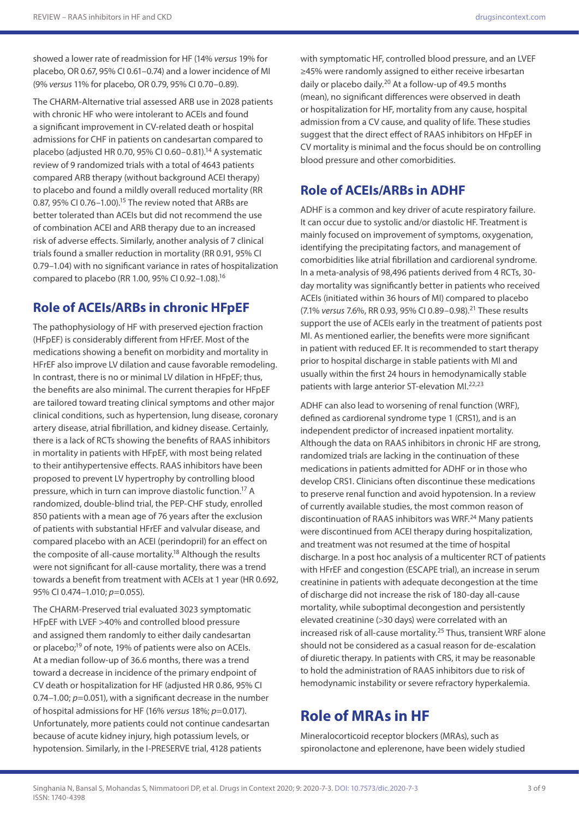showed a lower rate of readmission for HF (14% *versus* 19% for placebo, OR 0.67, 95% CI 0.61–0.74) and a lower incidence of MI (9% *versus* 11% for placebo, OR 0.79, 95% CI 0.70–0.89).

The CHARM-Alternative trial assessed ARB use in 2028 patients with chronic HF who were intolerant to ACEIs and found a significant improvement in CV-related death or hospital admissions for CHF in patients on candesartan compared to placebo (adjusted HR 0.70, 95% CI 0.60–0.81).14 A systematic review of 9 randomized trials with a total of 4643 patients compared ARB therapy (without background ACEI therapy) to placebo and found a mildly overall reduced mortality (RR 0.87, 95% CI 0.76–1.00).15 The review noted that ARBs are better tolerated than ACEIs but did not recommend the use of combination ACEI and ARB therapy due to an increased risk of adverse effects. Similarly, another analysis of 7 clinical trials found a smaller reduction in mortality (RR 0.91, 95% CI 0.79–1.04) with no significant variance in rates of hospitalization compared to placebo (RR 1.00, 95% CI 0.92–1.08).16

## **Role of ACEIs/ARBs in chronic HFpEF**

The pathophysiology of HF with preserved ejection fraction (HFpEF) is considerably different from HFrEF. Most of the medications showing a benefit on morbidity and mortality in HFrEF also improve LV dilation and cause favorable remodeling. In contrast, there is no or minimal LV dilation in HFpEF; thus, the benefits are also minimal. The current therapies for HFpEF are tailored toward treating clinical symptoms and other major clinical conditions, such as hypertension, lung disease, coronary artery disease, atrial fibrillation, and kidney disease. Certainly, there is a lack of RCTs showing the benefits of RAAS inhibitors in mortality in patients with HFpEF, with most being related to their antihypertensive effects. RAAS inhibitors have been proposed to prevent LV hypertrophy by controlling blood pressure, which in turn can improve diastolic function.17 A randomized, double-blind trial, the PEP-CHF study, enrolled 850 patients with a mean age of 76 years after the exclusion of patients with substantial HFrEF and valvular disease, and compared placebo with an ACEI (perindopril) for an effect on the composite of all-cause mortality.18 Although the results were not significant for all-cause mortality, there was a trend towards a benefit from treatment with ACEIs at 1 year (HR 0.692, 95% CI 0.474–1.010; *p*=0.055).

The CHARM-Preserved trial evaluated 3023 symptomatic HFpEF with LVEF >40% and controlled blood pressure and assigned them randomly to either daily candesartan or placebo;19 of note, 19% of patients were also on ACEIs. At a median follow-up of 36.6 months, there was a trend toward a decrease in incidence of the primary endpoint of CV death or hospitalization for HF (adjusted HR 0.86, 95% CI 0.74–1.00; *p*=0.051), with a significant decrease in the number of hospital admissions for HF (16% *versus* 18%; *p*=0.017). Unfortunately, more patients could not continue candesartan because of acute kidney injury, high potassium levels, or hypotension. Similarly, in the I-PRESERVE trial, 4128 patients

with symptomatic HF, controlled blood pressure, and an LVEF ≥45% were randomly assigned to either receive irbesartan daily or placebo daily.20 At a follow-up of 49.5 months (mean), no significant differences were observed in death or hospitalization for HF, mortality from any cause, hospital admission from a CV cause, and quality of life. These studies suggest that the direct effect of RAAS inhibitors on HFpEF in CV mortality is minimal and the focus should be on controlling blood pressure and other comorbidities.

## **Role of ACEIs/ARBs in ADHF**

ADHF is a common and key driver of acute respiratory failure. It can occur due to systolic and/or diastolic HF. Treatment is mainly focused on improvement of symptoms, oxygenation, identifying the precipitating factors, and management of comorbidities like atrial fibrillation and cardiorenal syndrome. In a meta-analysis of 98,496 patients derived from 4 RCTs, 30 day mortality was significantly better in patients who received ACEIs (initiated within 36 hours of MI) compared to placebo (7.1% *versus* 7.6%, RR 0.93, 95% CI 0.89–0.98).21 These results support the use of ACEIs early in the treatment of patients post MI. As mentioned earlier, the benefits were more significant in patient with reduced EF. It is recommended to start therapy prior to hospital discharge in stable patients with MI and usually within the first 24 hours in hemodynamically stable patients with large anterior ST-elevation MI.<sup>22,23</sup>

ADHF can also lead to worsening of renal function (WRF), defined as cardiorenal syndrome type 1 (CRS1), and is an independent predictor of increased inpatient mortality. Although the data on RAAS inhibitors in chronic HF are strong, randomized trials are lacking in the continuation of these medications in patients admitted for ADHF or in those who develop CRS1. Clinicians often discontinue these medications to preserve renal function and avoid hypotension. In a review of currently available studies, the most common reason of discontinuation of RAAS inhibitors was WRF.24 Many patients were discontinued from ACEI therapy during hospitalization, and treatment was not resumed at the time of hospital discharge. In a post hoc analysis of a multicenter RCT of patients with HFrEF and congestion (ESCAPE trial), an increase in serum creatinine in patients with adequate decongestion at the time of discharge did not increase the risk of 180-day all-cause mortality, while suboptimal decongestion and persistently elevated creatinine (>30 days) were correlated with an increased risk of all-cause mortality.25 Thus, transient WRF alone should not be considered as a casual reason for de-escalation of diuretic therapy. In patients with CRS, it may be reasonable to hold the administration of RAAS inhibitors due to risk of hemodynamic instability or severe refractory hyperkalemia.

# **Role of MRAs in HF**

Mineralocorticoid receptor blockers (MRAs), such as spironolactone and eplerenone, have been widely studied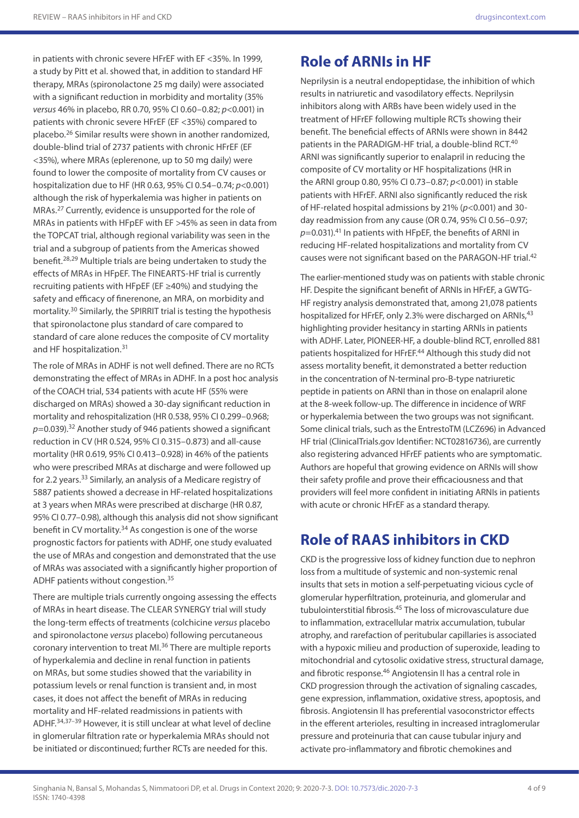in patients with chronic severe HFrEF with EF <35%. In 1999, a study by Pitt et al. showed that, in addition to standard HF therapy, MRAs (spironolactone 25 mg daily) were associated with a significant reduction in morbidity and mortality (35% *versus* 46% in placebo, RR 0.70, 95% CI 0.60–0.82; *p*<0.001) in patients with chronic severe HFrEF (EF <35%) compared to placebo.26 Similar results were shown in another randomized, double-blind trial of 2737 patients with chronic HFrEF (EF <35%), where MRAs (eplerenone, up to 50 mg daily) were found to lower the composite of mortality from CV causes or hospitalization due to HF (HR 0.63, 95% CI 0.54–0.74; *p*<0.001) although the risk of hyperkalemia was higher in patients on MRAs.27 Currently, evidence is unsupported for the role of MRAs in patients with HFpEF with EF >45% as seen in data from the TOPCAT trial, although regional variability was seen in the trial and a subgroup of patients from the Americas showed benefit.28,29 Multiple trials are being undertaken to study the effects of MRAs in HFpEF. The FINEARTS-HF trial is currently recruiting patients with HFpEF (EF ≥40%) and studying the safety and efficacy of finerenone, an MRA, on morbidity and mortality.30 Similarly, the SPIRRIT trial is testing the hypothesis that spironolactone plus standard of care compared to standard of care alone reduces the composite of CV mortality and HF hospitalization.31

The role of MRAs in ADHF is not well defined. There are no RCTs demonstrating the effect of MRAs in ADHF. In a post hoc analysis of the COACH trial, 534 patients with acute HF (55% were discharged on MRAs) showed a 30-day significant reduction in mortality and rehospitalization (HR 0.538, 95% CI 0.299–0.968; p=0.039).<sup>32</sup> Another study of 946 patients showed a significant reduction in CV (HR 0.524, 95% CI 0.315–0.873) and all-cause mortality (HR 0.619, 95% CI 0.413–0.928) in 46% of the patients who were prescribed MRAs at discharge and were followed up for 2.2 years.33 Similarly, an analysis of a Medicare registry of 5887 patients showed a decrease in HF-related hospitalizations at 3 years when MRAs were prescribed at discharge (HR 0.87, 95% CI 0.77–0.98), although this analysis did not show significant benefit in CV mortality.34 As congestion is one of the worse prognostic factors for patients with ADHF, one study evaluated the use of MRAs and congestion and demonstrated that the use of MRAs was associated with a significantly higher proportion of ADHF patients without congestion.35

There are multiple trials currently ongoing assessing the effects of MRAs in heart disease. The CLEAR SYNERGY trial will study the long-term effects of treatments (colchicine *versus* placebo and spironolactone *versus* placebo) following percutaneous coronary intervention to treat MI.36 There are multiple reports of hyperkalemia and decline in renal function in patients on MRAs, but some studies showed that the variability in potassium levels or renal function is transient and, in most cases, it does not affect the benefit of MRAs in reducing mortality and HF-related readmissions in patients with ADHF.34,37–39 However, it is still unclear at what level of decline in glomerular filtration rate or hyperkalemia MRAs should not be initiated or discontinued; further RCTs are needed for this.

# **Role of ARNIs in HF**

Neprilysin is a neutral endopeptidase, the inhibition of which results in natriuretic and vasodilatory effects. Neprilysin inhibitors along with ARBs have been widely used in the treatment of HFrEF following multiple RCTs showing their benefit. The beneficial effects of ARNIs were shown in 8442 patients in the PARADIGM-HF trial, a double-blind RCT.<sup>40</sup> ARNI was significantly superior to enalapril in reducing the composite of CV mortality or HF hospitalizations (HR in the ARNI group 0.80, 95% CI 0.73–0.87; *p*<0.001) in stable patients with HFrEF. ARNI also significantly reduced the risk of HF-related hospital admissions by 21% (*p*<0.001) and 30 day readmission from any cause (OR 0.74, 95% CI 0.56–0.97; *p*=0.031).41 In patients with HFpEF, the benefits of ARNI in reducing HF-related hospitalizations and mortality from CV causes were not significant based on the PARAGON-HF trial.42

The earlier-mentioned study was on patients with stable chronic HF. Despite the significant benefit of ARNIs in HFrEF, a GWTG-HF registry analysis demonstrated that, among 21,078 patients hospitalized for HFrEF, only 2.3% were discharged on ARNIs,<sup>43</sup> highlighting provider hesitancy in starting ARNIs in patients with ADHF. Later, PIONEER-HF, a double-blind RCT, enrolled 881 patients hospitalized for HFrEF.<sup>44</sup> Although this study did not assess mortality benefit, it demonstrated a better reduction in the concentration of N-terminal pro-B-type natriuretic peptide in patients on ARNI than in those on enalapril alone at the 8-week follow-up. The difference in incidence of WRF or hyperkalemia between the two groups was not significant. Some clinical trials, such as the EntrestoTM (LCZ696) in Advanced HF trial (ClinicalTrials.gov Identifier: NCT02816736), are currently also registering advanced HFrEF patients who are symptomatic. Authors are hopeful that growing evidence on ARNIs will show their safety profile and prove their efficaciousness and that providers will feel more confident in initiating ARNIs in patients with acute or chronic HFrEF as a standard therapy.

# **Role of RAAS inhibitors in CKD**

CKD is the progressive loss of kidney function due to nephron loss from a multitude of systemic and non-systemic renal insults that sets in motion a self-perpetuating vicious cycle of glomerular hyperfiltration, proteinuria, and glomerular and tubulointerstitial fibrosis.45 The loss of microvasculature due to inflammation, extracellular matrix accumulation, tubular atrophy, and rarefaction of peritubular capillaries is associated with a hypoxic milieu and production of superoxide, leading to mitochondrial and cytosolic oxidative stress, structural damage, and fibrotic response.<sup>46</sup> Angiotensin II has a central role in CKD progression through the activation of signaling cascades, gene expression, inflammation, oxidative stress, apoptosis, and fibrosis. Angiotensin II has preferential vasoconstrictor effects in the efferent arterioles, resulting in increased intraglomerular pressure and proteinuria that can cause tubular injury and activate pro-inflammatory and fibrotic chemokines and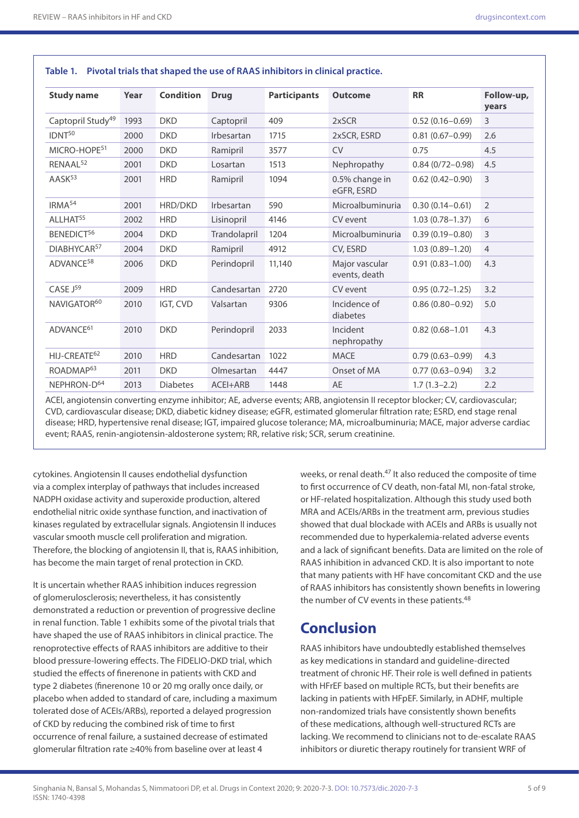| <b>Study name</b>             | Year | <b>Condition</b> | <b>Drug</b>  | <b>Participants</b> | <b>Outcome</b>                  | <b>RR</b>           | Follow-up,<br>years |
|-------------------------------|------|------------------|--------------|---------------------|---------------------------------|---------------------|---------------------|
| Captopril Study <sup>49</sup> | 1993 | <b>DKD</b>       | Captopril    | 409                 | 2xSCR                           | $0.52(0.16 - 0.69)$ | 3                   |
| IDNT <sup>50</sup>            | 2000 | <b>DKD</b>       | Irbesartan   | 1715                | 2xSCR, ESRD                     | $0.81(0.67 - 0.99)$ | 2.6                 |
| MICRO-HOPE <sup>51</sup>      | 2000 | <b>DKD</b>       | Ramipril     | 3577                | <b>CV</b>                       | 0.75                | 4.5                 |
| RENAAL <sup>52</sup>          | 2001 | <b>DKD</b>       | Losartan     | 1513                | Nephropathy                     | $0.84(0/72 - 0.98)$ | 4.5                 |
| AASK <sup>53</sup>            | 2001 | <b>HRD</b>       | Ramipril     | 1094                | 0.5% change in<br>eGFR, ESRD    | $0.62(0.42 - 0.90)$ | 3                   |
| IRMA <sup>54</sup>            | 2001 | HRD/DKD          | Irbesartan   | 590                 | Microalbuminuria                | $0.30(0.14 - 0.61)$ | $\overline{2}$      |
| ALLHAT <sup>55</sup>          | 2002 | <b>HRD</b>       | Lisinopril   | 4146                | CV event                        | $1.03(0.78 - 1.37)$ | 6                   |
| BENEDICT <sup>56</sup>        | 2004 | <b>DKD</b>       | Trandolapril | 1204                | Microalbuminuria                | $0.39(0.19 - 0.80)$ | 3                   |
| DIABHYCAR <sup>57</sup>       | 2004 | <b>DKD</b>       | Ramipril     | 4912                | CV, ESRD                        | $1.03(0.89 - 1.20)$ | $\overline{4}$      |
| ADVANCE <sup>58</sup>         | 2006 | <b>DKD</b>       | Perindopril  | 11,140              | Major vascular<br>events, death | $0.91(0.83 - 1.00)$ | 4.3                 |
| CASE J <sup>59</sup>          | 2009 | <b>HRD</b>       | Candesartan  | 2720                | CV event                        | $0.95(0.72 - 1.25)$ | 3.2                 |
| NAVIGATOR <sup>60</sup>       | 2010 | IGT, CVD         | Valsartan    | 9306                | Incidence of<br>diabetes        | $0.86(0.80 - 0.92)$ | 5.0                 |
| ADVANCE <sup>61</sup>         | 2010 | <b>DKD</b>       | Perindopril  | 2033                | Incident<br>nephropathy         | $0.82(0.68 - 1.01)$ | 4.3                 |
| HIJ-CREATE <sup>62</sup>      | 2010 | <b>HRD</b>       | Candesartan  | 1022                | <b>MACE</b>                     | $0.79(0.63 - 0.99)$ | 4.3                 |
| ROADMAP <sup>63</sup>         | 2011 | <b>DKD</b>       | Olmesartan   | 4447                | Onset of MA                     | $0.77(0.63 - 0.94)$ | 3.2                 |
| NEPHRON-D <sup>64</sup>       | 2013 | <b>Diabetes</b>  | ACEI+ARB     | 1448                | <b>AE</b>                       | $1.7(1.3-2.2)$      | 2.2                 |

### **Table 1. Pivotal trials that shaped the use of RAAS inhibitors in clinical practice.**

ACEI, angiotensin converting enzyme inhibitor; AE, adverse events; ARB, angiotensin II receptor blocker; CV, cardiovascular; CVD, cardiovascular disease; DKD, diabetic kidney disease; eGFR, estimated glomerular filtration rate; ESRD, end stage renal disease; HRD, hypertensive renal disease; IGT, impaired glucose tolerance; MA, microalbuminuria; MACE, major adverse cardiac event; RAAS, renin-angiotensin-aldosterone system; RR, relative risk; SCR, serum creatinine.

cytokines. Angiotensin II causes endothelial dysfunction via a complex interplay of pathways that includes increased NADPH oxidase activity and superoxide production, altered endothelial nitric oxide synthase function, and inactivation of kinases regulated by extracellular signals. Angiotensin II induces vascular smooth muscle cell proliferation and migration. Therefore, the blocking of angiotensin II, that is, RAAS inhibition, has become the main target of renal protection in CKD.

It is uncertain whether RAAS inhibition induces regression of glomerulosclerosis; nevertheless, it has consistently demonstrated a reduction or prevention of progressive decline in renal function. Table 1 exhibits some of the pivotal trials that have shaped the use of RAAS inhibitors in clinical practice. The renoprotective effects of RAAS inhibitors are additive to their blood pressure-lowering effects. The FIDELIO-DKD trial, which studied the effects of finerenone in patients with CKD and type 2 diabetes (finerenone 10 or 20 mg orally once daily, or placebo when added to standard of care, including a maximum tolerated dose of ACEIs/ARBs), reported a delayed progression of CKD by reducing the combined risk of time to first occurrence of renal failure, a sustained decrease of estimated glomerular filtration rate ≥40% from baseline over at least 4

weeks, or renal death.<sup>47</sup> It also reduced the composite of time to first occurrence of CV death, non-fatal MI, non-fatal stroke, or HF-related hospitalization. Although this study used both MRA and ACEIs/ARBs in the treatment arm, previous studies showed that dual blockade with ACEIs and ARBs is usually not recommended due to hyperkalemia-related adverse events and a lack of significant benefits. Data are limited on the role of RAAS inhibition in advanced CKD. It is also important to note that many patients with HF have concomitant CKD and the use of RAAS inhibitors has consistently shown benefits in lowering the number of CV events in these patients.<sup>48</sup>

## **Conclusion**

RAAS inhibitors have undoubtedly established themselves as key medications in standard and guideline-directed treatment of chronic HF. Their role is well defined in patients with HFrEF based on multiple RCTs, but their benefits are lacking in patients with HFpEF. Similarly, in ADHF, multiple non-randomized trials have consistently shown benefits of these medications, although well-structured RCTs are lacking. We recommend to clinicians not to de-escalate RAAS inhibitors or diuretic therapy routinely for transient WRF of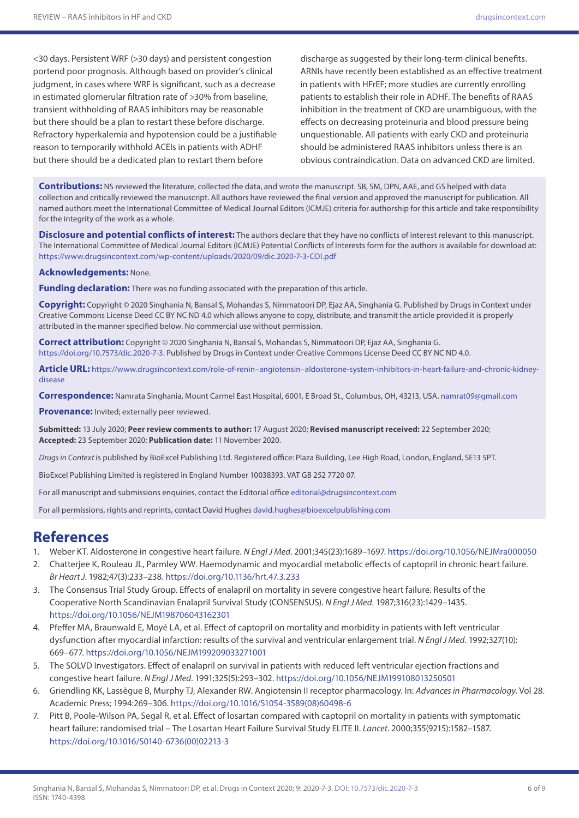<30 days. Persistent WRF (>30 days) and persistent congestion portend poor prognosis. Although based on provider's clinical judgment, in cases where WRF is significant, such as a decrease in estimated glomerular filtration rate of >30% from baseline, transient withholding of RAAS inhibitors may be reasonable but there should be a plan to restart these before discharge. Refractory hyperkalemia and hypotension could be a justifiable reason to temporarily withhold ACEIs in patients with ADHF but there should be a dedicated plan to restart them before

discharge as suggested by their long-term clinical benefits. ARNIs have recently been established as an effective treatment in patients with HFrEF; more studies are currently enrolling patients to establish their role in ADHF. The benefits of RAAS inhibition in the treatment of CKD are unambiguous, with the effects on decreasing proteinuria and blood pressure being unquestionable. All patients with early CKD and proteinuria should be administered RAAS inhibitors unless there is an obvious contraindication. Data on advanced CKD are limited.

**Contributions:** NS reviewed the literature, collected the data, and wrote the manuscript. SB, SM, DPN, AAE, and GS helped with data collection and critically reviewed the manuscript. All authors have reviewed the final version and approved the manuscript for publication. All named authors meet the International Committee of Medical Journal Editors (ICMJE) criteria for authorship for this article and take responsibility for the integrity of the work as a whole.

**Disclosure and potential conflicts of interest:** The authors declare that they have no conflicts of interest relevant to this manuscript. The International Committee of Medical Journal Editors (ICMJE) Potential Conflicts of Interests form for the authors is available for download at: <https://www.drugsincontext.com/wp-content/uploads/2020/09/dic.2020-7-3-COI.pdf>

**Acknowledgements:** None.

**Funding declaration:** There was no funding associated with the preparation of this article.

**Copyright:** Copyright © 2020 Singhania N, Bansal S, Mohandas S, Nimmatoori DP, Ejaz AA, Singhania G. Published by Drugs in Context under Creative Commons License Deed CC BY NC ND 4.0 which allows anyone to copy, distribute, and transmit the article provided it is properly attributed in the manner specified below. No commercial use without permission.

**Correct attribution:** Copyright © 2020 Singhania N, Bansal S, Mohandas S, Nimmatoori DP, Ejaz AA, Singhania G. [https://doi.org/10.7573/dic.2020-7-3.](https://doi.org/10.7573/dic.2020-7-3) Published by Drugs in Context under Creative Commons License Deed CC BY NC ND 4.0.

**Article URL:** [https://www.drugsincontext.com/role-of-renin–angiotensin–aldosterone-system-inhibitors-in-heart-failure-and-chronic-kidney](https://www.drugsincontext.com/role-of-renin-angiotensin-aldosterone-system-inhibitors-in-heart-failure-and-chronic-kidney-disease)[disease](https://www.drugsincontext.com/role-of-renin-angiotensin-aldosterone-system-inhibitors-in-heart-failure-and-chronic-kidney-disease)

**Correspondence:** Namrata Singhania, Mount Carmel East Hospital, 6001, E Broad St., Columbus, OH, 43213, USA. [namrat09@gmail.com](mailto:namrat09@gmail.com)

**Provenance:** Invited; externally peer reviewed.

**Submitted:** 13 July 2020; **Peer review comments to author:** 17 August 2020; **Revised manuscript received:** 22 September 2020; **Accepted:** 23 September 2020; **Publication date:** 11 November 2020.

*Drugs in Context* is published by BioExcel Publishing Ltd. Registered office: Plaza Building, Lee High Road, London, England, SE13 5PT.

BioExcel Publishing Limited is registered in England Number 10038393. VAT GB 252 7720 07.

For all manuscript and submissions enquiries, contact the Editorial office [editorial@drugsincontext.com](mailto:editorial@drugsincontext.com)

For all permissions, rights and reprints, contact David Hughes [david.hughes@bioexcelpublishing.com](mailto:david.hughes@bioexcelpublishing.com)

### **References**

- 1. Weber KT. Aldosterone in congestive heart failure. *N Engl J Med*. 2001;345(23):1689–1697. <https://doi.org/10.1056/NEJMra000050>
- 2. Chatterjee K, Rouleau JL, Parmley WW. Haemodynamic and myocardial metabolic effects of captopril in chronic heart failure. *Br Heart J*. 1982;47(3):233–238.<https://doi.org/10.1136/hrt.47.3.233>
- 3. The Consensus Trial Study Group. Effects of enalapril on mortality in severe congestive heart failure. Results of the Cooperative North Scandinavian Enalapril Survival Study (CONSENSUS). *N Engl J Med*. 1987;316(23):1429–1435. <https://doi.org/10.1056/NEJM198706043162301>
- 4. Pfeffer MA, Braunwald E, Moyé LA, et al. Effect of captopril on mortality and morbidity in patients with left ventricular dysfunction after myocardial infarction: results of the survival and ventricular enlargement trial. *N Engl J Med*. 1992;327(10): 669–677.<https://doi.org/10.1056/NEJM199209033271001>
- 5. The SOLVD Investigators. Effect of enalapril on survival in patients with reduced left ventricular ejection fractions and congestive heart failure. *N Engl J Med*. 1991;325(5):293–302. <https://doi.org/10.1056/NEJM199108013250501>
- 6. Griendling KK, Lassègue B, Murphy TJ, Alexander RW. Angiotensin II receptor pharmacology. In: *Advances in Pharmacology*. Vol 28. Academic Press; 1994:269–306. [https://doi.org/10.1016/S1054-3589\(08\)60498-6](https://doi.org/10.1016/S1054-3589(08)60498-6)
- 7. Pitt B, Poole-Wilson PA, Segal R, et al. Effect of losartan compared with captopril on mortality in patients with symptomatic heart failure: randomised trial – The Losartan Heart Failure Survival Study ELITE II. *Lancet*. 2000;355(9215):1582–1587. [https://doi.org/10.1016/S0140-6736\(00\)02213-3](https://doi.org/10.1016/S0140-6736(00)02213-3)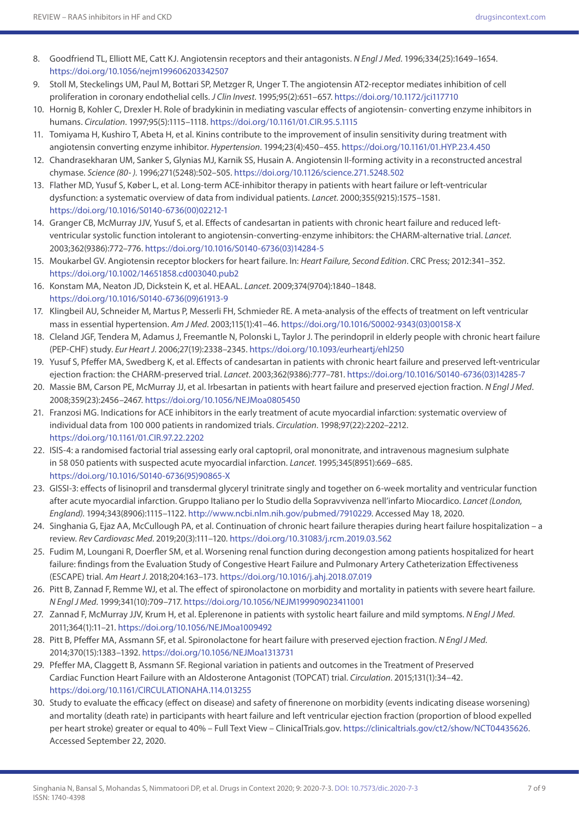- 8. Goodfriend TL, Elliott ME, Catt KJ. Angiotensin receptors and their antagonists. *N Engl J Med*. 1996;334(25):1649–1654. <https://doi.org/10.1056/nejm199606203342507>
- 9. Stoll M, Steckelings UM, Paul M, Bottari SP, Metzger R, Unger T. The angiotensin AT2-receptor mediates inhibition of cell proliferation in coronary endothelial cells. *J Clin Invest*. 1995;95(2):651–657.<https://doi.org/10.1172/jci117710>
- 10. Hornig B, Kohler C, Drexler H. Role of bradykinin in mediating vascular effects of angiotensin- converting enzyme inhibitors in humans. *Circulation*. 1997;95(5):1115–1118.<https://doi.org/10.1161/01.CIR.95.5.1115>
- 11. Tomiyama H, Kushiro T, Abeta H, et al. Kinins contribute to the improvement of insulin sensitivity during treatment with angiotensin converting enzyme inhibitor. *Hypertension*. 1994;23(4):450–455.<https://doi.org/10.1161/01.HYP.23.4.450>
- 12. Chandrasekharan UM, Sanker S, Glynias MJ, Karnik SS, Husain A. Angiotensin II-forming activity in a reconstructed ancestral chymase. *Science (80- )*. 1996;271(5248):502–505. <https://doi.org/10.1126/science.271.5248.502>
- 13. Flather MD, Yusuf S, Køber L, et al. Long-term ACE-inhibitor therapy in patients with heart failure or left-ventricular dysfunction: a systematic overview of data from individual patients. *Lancet*. 2000;355(9215):1575–1581. [https://doi.org/10.1016/S0140-6736\(00\)02212-1](https://doi.org/10.1016/S0140-6736(00)02212-1)
- 14. Granger CB, McMurray JJV, Yusuf S, et al. Effects of candesartan in patients with chronic heart failure and reduced leftventricular systolic function intolerant to angiotensin-converting-enzyme inhibitors: the CHARM-alternative trial. *Lancet*. 2003;362(9386):772–776. [https://doi.org/10.1016/S0140-6736\(03\)14284-5](https://doi.org/10.1016/S0140-6736(03)14284-5)
- 15. Moukarbel GV. Angiotensin receptor blockers for heart failure. In: *Heart Failure, Second Edition*. CRC Press; 2012:341–352. <https://doi.org/10.1002/14651858.cd003040.pub2>
- 16. Konstam MA, Neaton JD, Dickstein K, et al. HEAAL. *Lancet*. 2009;374(9704):1840–1848. [https://doi.org/10.1016/S0140-6736\(09\)61913-9](https://doi.org/10.1016/S0140-6736(09)61913-9)
- 17. Klingbeil AU, Schneider M, Martus P, Messerli FH, Schmieder RE. A meta-analysis of the effects of treatment on left ventricular mass in essential hypertension. *Am J Med*. 2003;115(1):41–46. [https://doi.org/10.1016/S0002-9343\(03\)00158-X](https://doi.org/10.1016/S0002-9343(03)00158-X)
- 18. Cleland JGF, Tendera M, Adamus J, Freemantle N, Polonski L, Taylor J. The perindopril in elderly people with chronic heart failure (PEP-CHF) study. *Eur Heart J*. 2006;27(19):2338–2345. <https://doi.org/10.1093/eurheartj/ehl250>
- 19. Yusuf S, Pfeffer MA, Swedberg K, et al. Effects of candesartan in patients with chronic heart failure and preserved left-ventricular ejection fraction: the CHARM-preserved trial. *Lancet*. 2003;362(9386):777–781. [https://doi.org/10.1016/S0140-6736\(03\)14285-7](https://doi.org/10.1016/S0140-6736(03)14285-7)
- 20. Massie BM, Carson PE, McMurray JJ, et al. Irbesartan in patients with heart failure and preserved ejection fraction. *N Engl J Med*. 2008;359(23):2456–2467.<https://doi.org/10.1056/NEJMoa0805450>
- 21. Franzosi MG. Indications for ACE inhibitors in the early treatment of acute myocardial infarction: systematic overview of individual data from 100 000 patients in randomized trials. *Circulation*. 1998;97(22):2202–2212. <https://doi.org/10.1161/01.CIR.97.22.2202>
- 22. ISIS-4: a randomised factorial trial assessing early oral captopril, oral mononitrate, and intravenous magnesium sulphate in 58 050 patients with suspected acute myocardial infarction. *Lancet*. 1995;345(8951):669–685. [https://doi.org/10.1016/S0140-6736\(95\)90865-X](https://doi.org/10.1016/S0140-6736(95)90865-X)
- 23. GISSI-3: effects of lisinopril and transdermal glyceryl trinitrate singly and together on 6-week mortality and ventricular function after acute myocardial infarction. Gruppo Italiano per lo Studio della Sopravvivenza nell'infarto Miocardico. *Lancet (London, England)*. 1994;343(8906):1115–1122. [http://www.ncbi.nlm.nih.gov/pubmed/7910229.](http://www.ncbi.nlm.nih.gov/pubmed/7910229) Accessed May 18, 2020.
- 24. Singhania G, Ejaz AA, McCullough PA, et al. Continuation of chronic heart failure therapies during heart failure hospitalization a review. *Rev Cardiovasc Med*. 2019;20(3):111–120.<https://doi.org/10.31083/j.rcm.2019.03.562>
- 25. Fudim M, Loungani R, Doerfler SM, et al. Worsening renal function during decongestion among patients hospitalized for heart failure: findings from the Evaluation Study of Congestive Heart Failure and Pulmonary Artery Catheterization Effectiveness (ESCAPE) trial. *Am Heart J*. 2018;204:163–173.<https://doi.org/10.1016/j.ahj.2018.07.019>
- 26. Pitt B, Zannad F, Remme WJ, et al. The effect of spironolactone on morbidity and mortality in patients with severe heart failure. *N Engl J Med*. 1999;341(10):709–717.<https://doi.org/10.1056/NEJM199909023411001>
- 27. Zannad F, McMurray JJV, Krum H, et al. Eplerenone in patients with systolic heart failure and mild symptoms. *N Engl J Med*. 2011;364(1):11–21.<https://doi.org/10.1056/NEJMoa1009492>
- 28. Pitt B, Pfeffer MA, Assmann SF, et al. Spironolactone for heart failure with preserved ejection fraction. *N Engl J Med*. 2014;370(15):1383–1392.<https://doi.org/10.1056/NEJMoa1313731>
- 29. Pfeffer MA, Claggett B, Assmann SF. Regional variation in patients and outcomes in the Treatment of Preserved Cardiac Function Heart Failure with an Aldosterone Antagonist (TOPCAT) trial. *Circulation*. 2015;131(1):34–42. <https://doi.org/10.1161/CIRCULATIONAHA.114.013255>
- 30. Study to evaluate the efficacy (effect on disease) and safety of finerenone on morbidity (events indicating disease worsening) and mortality (death rate) in participants with heart failure and left ventricular ejection fraction (proportion of blood expelled per heart stroke) greater or equal to 40% – Full Text View – ClinicalTrials.gov.<https://clinicaltrials.gov/ct2/show/NCT04435626>. Accessed September 22, 2020.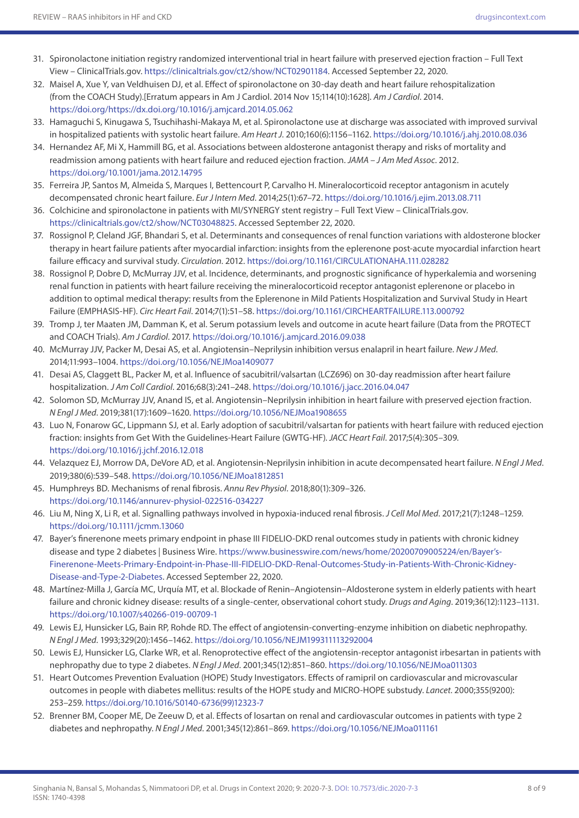- 31. Spironolactone initiation registry randomized interventional trial in heart failure with preserved ejection fraction Full Text View – ClinicalTrials.gov. <https://clinicaltrials.gov/ct2/show/NCT02901184>. Accessed September 22, 2020.
- 32. Maisel A, Xue Y, van Veldhuisen DJ, et al. Effect of spironolactone on 30-day death and heart failure rehospitalization (from the COACH Study).[Erratum appears in Am J Cardiol. 2014 Nov 15;114(10):1628]. *Am J Cardiol*. 2014. <https://doi.org/https://dx.doi.org/10.1016/j.amjcard.2014.05.062>
- 33. Hamaguchi S, Kinugawa S, Tsuchihashi-Makaya M, et al. Spironolactone use at discharge was associated with improved survival in hospitalized patients with systolic heart failure. *Am Heart J*. 2010;160(6):1156–1162. <https://doi.org/10.1016/j.ahj.2010.08.036>
- 34. Hernandez AF, Mi X, Hammill BG, et al. Associations between aldosterone antagonist therapy and risks of mortality and readmission among patients with heart failure and reduced ejection fraction. *JAMA – J Am Med Assoc*. 2012. <https://doi.org/10.1001/jama.2012.14795>
- 35. Ferreira JP, Santos M, Almeida S, Marques I, Bettencourt P, Carvalho H. Mineralocorticoid receptor antagonism in acutely decompensated chronic heart failure. *Eur J Intern Med*. 2014;25(1):67–72.<https://doi.org/10.1016/j.ejim.2013.08.711>
- 36. Colchicine and spironolactone in patients with MI/SYNERGY stent registry Full Text View ClinicalTrials.gov. <https://clinicaltrials.gov/ct2/show/NCT03048825>. Accessed September 22, 2020.
- 37. Rossignol P, Cleland JGF, Bhandari S, et al. Determinants and consequences of renal function variations with aldosterone blocker therapy in heart failure patients after myocardial infarction: insights from the eplerenone post-acute myocardial infarction heart failure efficacy and survival study. *Circulation*. 2012.<https://doi.org/10.1161/CIRCULATIONAHA.111.028282>
- 38. Rossignol P, Dobre D, McMurray JJV, et al. Incidence, determinants, and prognostic significance of hyperkalemia and worsening renal function in patients with heart failure receiving the mineralocorticoid receptor antagonist eplerenone or placebo in addition to optimal medical therapy: results from the Eplerenone in Mild Patients Hospitalization and Survival Study in Heart Failure (EMPHASIS-HF). *Circ Heart Fail*. 2014;7(1):51–58. <https://doi.org/10.1161/CIRCHEARTFAILURE.113.000792>
- 39. Tromp J, ter Maaten JM, Damman K, et al. Serum potassium levels and outcome in acute heart failure (Data from the PROTECT and COACH Trials). *Am J Cardiol*. 2017.<https://doi.org/10.1016/j.amjcard.2016.09.038>
- 40. McMurray JJV, Packer M, Desai AS, et al. Angiotensin–Neprilysin inhibition versus enalapril in heart failure. *New J Med*. 2014;11:993–1004.<https://doi.org/10.1056/NEJMoa1409077>
- 41. Desai AS, Claggett BL, Packer M, et al. Influence of sacubitril/valsartan (LCZ696) on 30-day readmission after heart failure hospitalization. *J Am Coll Cardiol*. 2016;68(3):241–248. <https://doi.org/10.1016/j.jacc.2016.04.047>
- 42. Solomon SD, McMurray JJV, Anand IS, et al. Angiotensin–Neprilysin inhibition in heart failure with preserved ejection fraction. *N Engl J Med*. 2019;381(17):1609–1620. <https://doi.org/10.1056/NEJMoa1908655>
- 43. Luo N, Fonarow GC, Lippmann SJ, et al. Early adoption of sacubitril/valsartan for patients with heart failure with reduced ejection fraction: insights from Get With the Guidelines-Heart Failure (GWTG-HF). *JACC Heart Fail*. 2017;5(4):305–309. <https://doi.org/10.1016/j.jchf.2016.12.018>
- 44. Velazquez EJ, Morrow DA, DeVore AD, et al. Angiotensin-Neprilysin inhibition in acute decompensated heart failure. *N Engl J Med*. 2019;380(6):539–548. <https://doi.org/10.1056/NEJMoa1812851>
- 45. Humphreys BD. Mechanisms of renal fibrosis. *Annu Rev Physiol*. 2018;80(1):309–326. <https://doi.org/10.1146/annurev-physiol-022516-034227>
- 46. Liu M, Ning X, Li R, et al. Signalling pathways involved in hypoxia-induced renal fibrosis. *J Cell Mol Med*. 2017;21(7):1248–1259. <https://doi.org/10.1111/jcmm.13060>
- 47. Bayer's finerenone meets primary endpoint in phase III FIDELIO-DKD renal outcomes study in patients with chronic kidney disease and type 2 diabetes | Business Wire. [https://www.businesswire.com/news/home/20200709005224/en/Bayer's-](https://www.businesswire.com/news/home/20200709005224/en/Bayer)[Finerenone-Meets-Primary-Endpoint-in-Phase-III-FIDELIO-DKD-Renal-Outcomes-Study-in-Patients-With-Chronic-Kidney-](https://www.businesswire.com/news/home/20200709005224/en/Bayer)[Disease-and-Type-2-Diabetes](https://www.businesswire.com/news/home/20200709005224/en/Bayer). Accessed September 22, 2020.
- 48. Martínez-Milla J, García MC, Urquía MT, et al. Blockade of Renin–Angiotensin–Aldosterone system in elderly patients with heart failure and chronic kidney disease: results of a single-center, observational cohort study. *Drugs and Aging*. 2019;36(12):1123–1131. <https://doi.org/10.1007/s40266-019-00709-1>
- 49. Lewis EJ, Hunsicker LG, Bain RP, Rohde RD. The effect of angiotensin-converting-enzyme inhibition on diabetic nephropathy. *N Engl J Med*. 1993;329(20):1456–1462.<https://doi.org/10.1056/NEJM199311113292004>
- 50. Lewis EJ, Hunsicker LG, Clarke WR, et al. Renoprotective effect of the angiotensin-receptor antagonist irbesartan in patients with nephropathy due to type 2 diabetes. *N Engl J Med*. 2001;345(12):851–860.<https://doi.org/10.1056/NEJMoa011303>
- 51. Heart Outcomes Prevention Evaluation (HOPE) Study Investigators. Effects of ramipril on cardiovascular and microvascular outcomes in people with diabetes mellitus: results of the HOPE study and MICRO-HOPE substudy. *Lancet*. 2000;355(9200): 253–259. [https://doi.org/10.1016/S0140-6736\(99\)12323-7](https://doi.org/10.1016/S0140-6736(99)12323-7)
- 52. Brenner BM, Cooper ME, De Zeeuw D, et al. Effects of losartan on renal and cardiovascular outcomes in patients with type 2 diabetes and nephropathy. *N Engl J Med*. 2001;345(12):861–869. <https://doi.org/10.1056/NEJMoa011161>